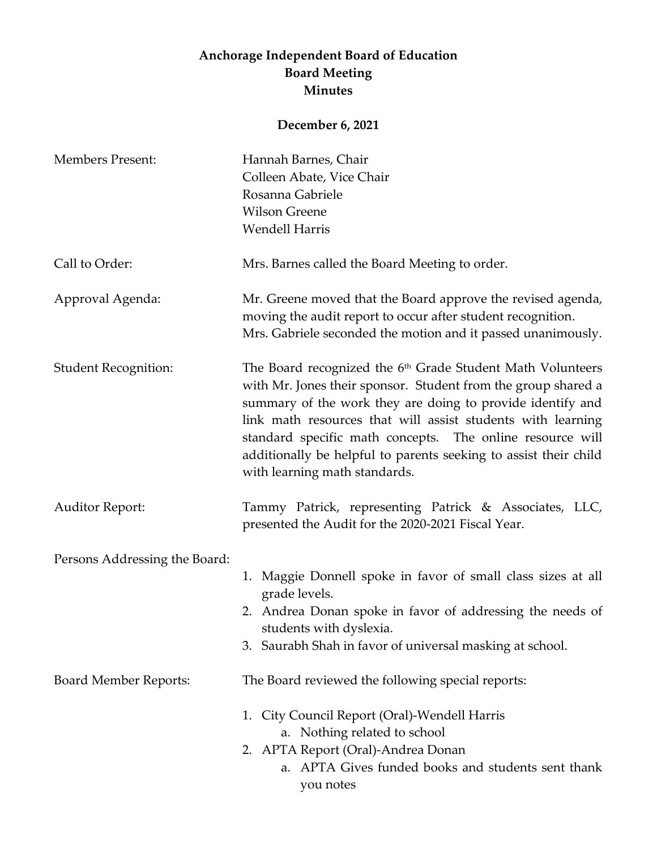## **Anchorage Independent Board of Education Board Meeting Minutes**

## **December 6, 2021**

| <b>Members Present:</b>       | Hannah Barnes, Chair                                                                                                                                                                                                                                                                                                                                                                                                                   |
|-------------------------------|----------------------------------------------------------------------------------------------------------------------------------------------------------------------------------------------------------------------------------------------------------------------------------------------------------------------------------------------------------------------------------------------------------------------------------------|
|                               | Colleen Abate, Vice Chair                                                                                                                                                                                                                                                                                                                                                                                                              |
|                               | Rosanna Gabriele                                                                                                                                                                                                                                                                                                                                                                                                                       |
|                               | <b>Wilson Greene</b>                                                                                                                                                                                                                                                                                                                                                                                                                   |
|                               | <b>Wendell Harris</b>                                                                                                                                                                                                                                                                                                                                                                                                                  |
| Call to Order:                | Mrs. Barnes called the Board Meeting to order.                                                                                                                                                                                                                                                                                                                                                                                         |
| Approval Agenda:              | Mr. Greene moved that the Board approve the revised agenda,<br>moving the audit report to occur after student recognition.<br>Mrs. Gabriele seconded the motion and it passed unanimously.                                                                                                                                                                                                                                             |
| <b>Student Recognition:</b>   | The Board recognized the 6 <sup>th</sup> Grade Student Math Volunteers<br>with Mr. Jones their sponsor. Student from the group shared a<br>summary of the work they are doing to provide identify and<br>link math resources that will assist students with learning<br>standard specific math concepts. The online resource will<br>additionally be helpful to parents seeking to assist their child<br>with learning math standards. |
| <b>Auditor Report:</b>        | Tammy Patrick, representing Patrick & Associates, LLC,<br>presented the Audit for the 2020-2021 Fiscal Year.                                                                                                                                                                                                                                                                                                                           |
| Persons Addressing the Board: |                                                                                                                                                                                                                                                                                                                                                                                                                                        |
|                               | 1. Maggie Donnell spoke in favor of small class sizes at all<br>grade levels.                                                                                                                                                                                                                                                                                                                                                          |
|                               | 2. Andrea Donan spoke in favor of addressing the needs of<br>students with dyslexia.                                                                                                                                                                                                                                                                                                                                                   |
|                               | 3. Saurabh Shah in favor of universal masking at school.                                                                                                                                                                                                                                                                                                                                                                               |
| <b>Board Member Reports:</b>  | The Board reviewed the following special reports:                                                                                                                                                                                                                                                                                                                                                                                      |
|                               | City Council Report (Oral)-Wendell Harris<br>1.<br>a. Nothing related to school                                                                                                                                                                                                                                                                                                                                                        |
|                               | 2. APTA Report (Oral)-Andrea Donan<br>a. APTA Gives funded books and students sent thank<br>you notes                                                                                                                                                                                                                                                                                                                                  |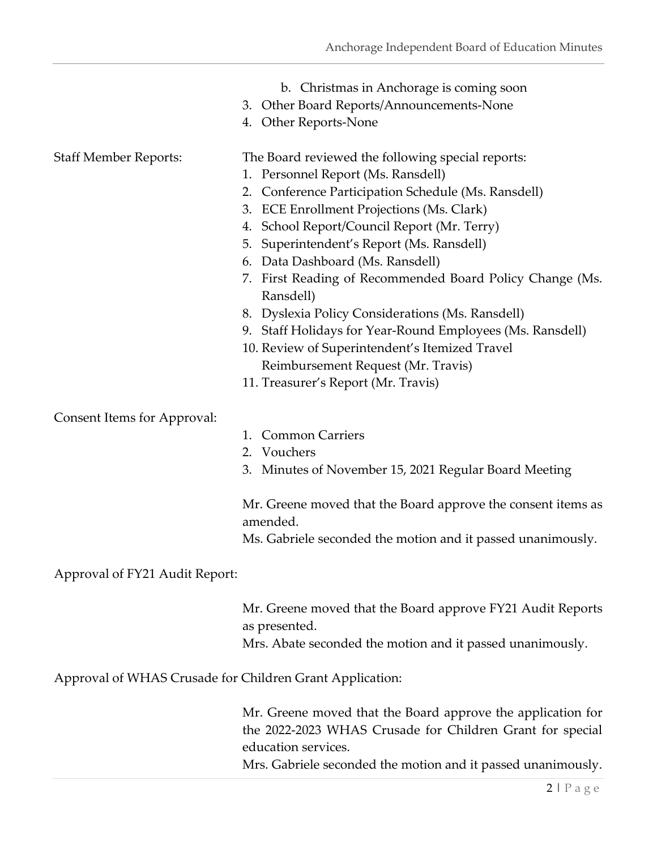- b. Christmas in Anchorage is coming soon
- 3. Other Board Reports/Announcements-None
- 4. Other Reports-None

Staff Member Reports: The Board reviewed the following special reports:

- 1. Personnel Report (Ms. Ransdell)
- 2. Conference Participation Schedule (Ms. Ransdell)
- 3. ECE Enrollment Projections (Ms. Clark)
- 4. School Report/Council Report (Mr. Terry)
- 5. Superintendent's Report (Ms. Ransdell)
- 6. Data Dashboard (Ms. Ransdell)
- 7. First Reading of Recommended Board Policy Change (Ms. Ransdell)
- 8. Dyslexia Policy Considerations (Ms. Ransdell)
- 9. Staff Holidays for Year-Round Employees (Ms. Ransdell)
- 10. Review of Superintendent's Itemized Travel Reimbursement Request (Mr. Travis)
- 11. Treasurer's Report (Mr. Travis)

Consent Items for Approval:

- 1. Common Carriers
- 2. Vouchers
- 3. Minutes of November 15, 2021 Regular Board Meeting

Mr. Greene moved that the Board approve the consent items as amended.

Ms. Gabriele seconded the motion and it passed unanimously.

## Approval of FY21 Audit Report:

Mr. Greene moved that the Board approve FY21 Audit Reports as presented.

Mrs. Abate seconded the motion and it passed unanimously.

Approval of WHAS Crusade for Children Grant Application:

Mr. Greene moved that the Board approve the application for the 2022-2023 WHAS Crusade for Children Grant for special education services.

Mrs. Gabriele seconded the motion and it passed unanimously.